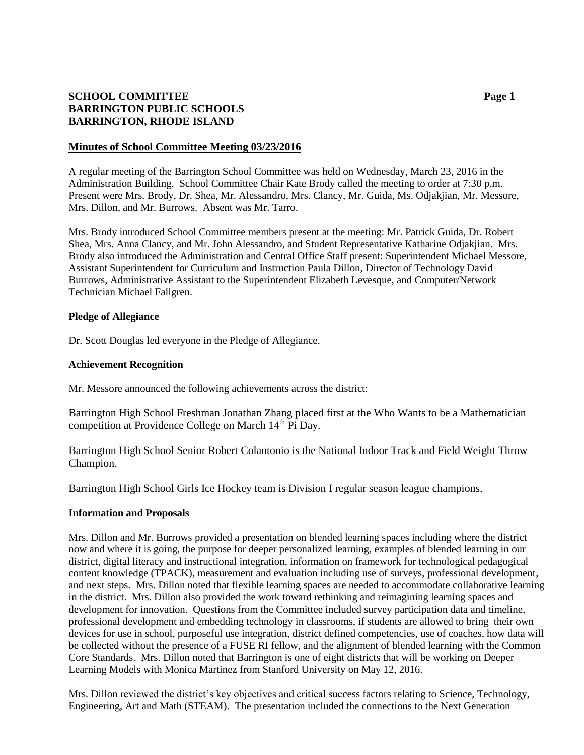# **SCHOOL COMMITTEE Page 1 BARRINGTON PUBLIC SCHOOLS BARRINGTON, RHODE ISLAND**

## **Minutes of School Committee Meeting 03/23/2016**

A regular meeting of the Barrington School Committee was held on Wednesday, March 23, 2016 in the Administration Building. School Committee Chair Kate Brody called the meeting to order at 7:30 p.m. Present were Mrs. Brody, Dr. Shea, Mr. Alessandro, Mrs. Clancy, Mr. Guida, Ms. Odjakjian, Mr. Messore, Mrs. Dillon, and Mr. Burrows. Absent was Mr. Tarro.

Mrs. Brody introduced School Committee members present at the meeting: Mr. Patrick Guida, Dr. Robert Shea, Mrs. Anna Clancy, and Mr. John Alessandro, and Student Representative Katharine Odjakjian. Mrs. Brody also introduced the Administration and Central Office Staff present: Superintendent Michael Messore, Assistant Superintendent for Curriculum and Instruction Paula Dillon, Director of Technology David Burrows, Administrative Assistant to the Superintendent Elizabeth Levesque, and Computer/Network Technician Michael Fallgren.

## **Pledge of Allegiance**

Dr. Scott Douglas led everyone in the Pledge of Allegiance.

## **Achievement Recognition**

Mr. Messore announced the following achievements across the district:

Barrington High School Freshman Jonathan Zhang placed first at the Who Wants to be a Mathematician competition at Providence College on March 14<sup>th</sup> Pi Day.

Barrington High School Senior Robert Colantonio is the National Indoor Track and Field Weight Throw Champion.

Barrington High School Girls Ice Hockey team is Division I regular season league champions.

#### **Information and Proposals**

Mrs. Dillon and Mr. Burrows provided a presentation on blended learning spaces including where the district now and where it is going, the purpose for deeper personalized learning, examples of blended learning in our district, digital literacy and instructional integration, information on framework for technological pedagogical content knowledge (TPACK), measurement and evaluation including use of surveys, professional development, and next steps. Mrs. Dillon noted that flexible learning spaces are needed to accommodate collaborative learning in the district. Mrs. Dillon also provided the work toward rethinking and reimagining learning spaces and development for innovation. Questions from the Committee included survey participation data and timeline, professional development and embedding technology in classrooms, if students are allowed to bring their own devices for use in school, purposeful use integration, district defined competencies, use of coaches, how data will be collected without the presence of a FUSE RI fellow, and the alignment of blended learning with the Common Core Standards. Mrs. Dillon noted that Barrington is one of eight districts that will be working on Deeper Learning Models with Monica Martinez from Stanford University on May 12, 2016.

Mrs. Dillon reviewed the district's key objectives and critical success factors relating to Science, Technology, Engineering, Art and Math (STEAM). The presentation included the connections to the Next Generation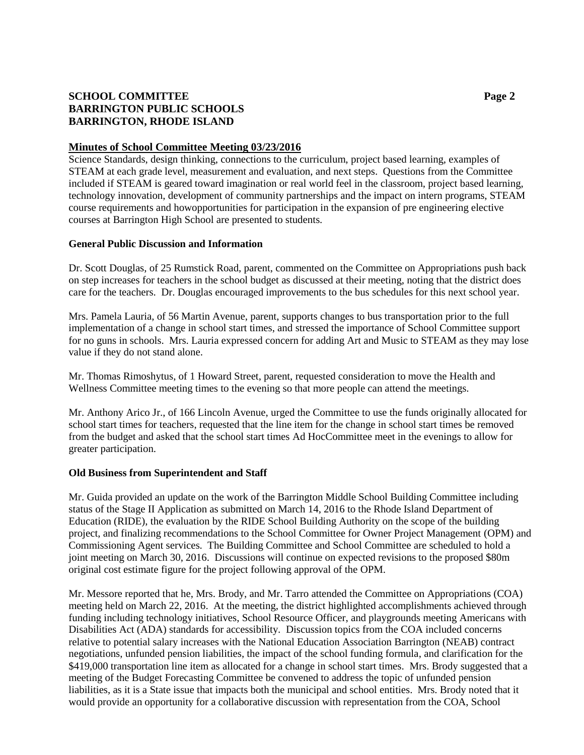# **SCHOOL COMMITTEE Page 2 BARRINGTON PUBLIC SCHOOLS BARRINGTON, RHODE ISLAND**

## **Minutes of School Committee Meeting 03/23/2016**

Science Standards, design thinking, connections to the curriculum, project based learning, examples of STEAM at each grade level, measurement and evaluation, and next steps. Questions from the Committee included if STEAM is geared toward imagination or real world feel in the classroom, project based learning, technology innovation, development of community partnerships and the impact on intern programs, STEAM course requirements and howopportunities for participation in the expansion of pre engineering elective courses at Barrington High School are presented to students.

## **General Public Discussion and Information**

Dr. Scott Douglas, of 25 Rumstick Road, parent, commented on the Committee on Appropriations push back on step increases for teachers in the school budget as discussed at their meeting, noting that the district does care for the teachers. Dr. Douglas encouraged improvements to the bus schedules for this next school year.

Mrs. Pamela Lauria, of 56 Martin Avenue, parent, supports changes to bus transportation prior to the full implementation of a change in school start times, and stressed the importance of School Committee support for no guns in schools. Mrs. Lauria expressed concern for adding Art and Music to STEAM as they may lose value if they do not stand alone.

Mr. Thomas Rimoshytus, of 1 Howard Street, parent, requested consideration to move the Health and Wellness Committee meeting times to the evening so that more people can attend the meetings.

Mr. Anthony Arico Jr., of 166 Lincoln Avenue, urged the Committee to use the funds originally allocated for school start times for teachers, requested that the line item for the change in school start times be removed from the budget and asked that the school start times Ad HocCommittee meet in the evenings to allow for greater participation.

#### **Old Business from Superintendent and Staff**

Mr. Guida provided an update on the work of the Barrington Middle School Building Committee including status of the Stage II Application as submitted on March 14, 2016 to the Rhode Island Department of Education (RIDE), the evaluation by the RIDE School Building Authority on the scope of the building project, and finalizing recommendations to the School Committee for Owner Project Management (OPM) and Commissioning Agent services. The Building Committee and School Committee are scheduled to hold a joint meeting on March 30, 2016. Discussions will continue on expected revisions to the proposed \$80m original cost estimate figure for the project following approval of the OPM.

Mr. Messore reported that he, Mrs. Brody, and Mr. Tarro attended the Committee on Appropriations (COA) meeting held on March 22, 2016. At the meeting, the district highlighted accomplishments achieved through funding including technology initiatives, School Resource Officer, and playgrounds meeting Americans with Disabilities Act (ADA) standards for accessibility. Discussion topics from the COA included concerns relative to potential salary increases with the National Education Association Barrington (NEAB) contract negotiations, unfunded pension liabilities, the impact of the school funding formula, and clarification for the \$419,000 transportation line item as allocated for a change in school start times. Mrs. Brody suggested that a meeting of the Budget Forecasting Committee be convened to address the topic of unfunded pension liabilities, as it is a State issue that impacts both the municipal and school entities. Mrs. Brody noted that it would provide an opportunity for a collaborative discussion with representation from the COA, School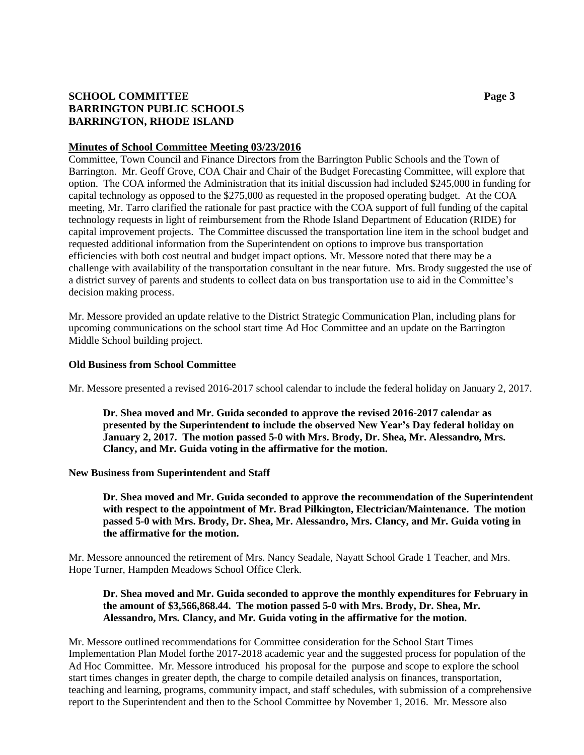# **SCHOOL COMMITTEE Page 3 BARRINGTON PUBLIC SCHOOLS BARRINGTON, RHODE ISLAND**

## **Minutes of School Committee Meeting 03/23/2016**

Committee, Town Council and Finance Directors from the Barrington Public Schools and the Town of Barrington. Mr. Geoff Grove, COA Chair and Chair of the Budget Forecasting Committee, will explore that option. The COA informed the Administration that its initial discussion had included \$245,000 in funding for capital technology as opposed to the \$275,000 as requested in the proposed operating budget. At the COA meeting, Mr. Tarro clarified the rationale for past practice with the COA support of full funding of the capital technology requests in light of reimbursement from the Rhode Island Department of Education (RIDE) for capital improvement projects. The Committee discussed the transportation line item in the school budget and requested additional information from the Superintendent on options to improve bus transportation efficiencies with both cost neutral and budget impact options. Mr. Messore noted that there may be a challenge with availability of the transportation consultant in the near future. Mrs. Brody suggested the use of a district survey of parents and students to collect data on bus transportation use to aid in the Committee's decision making process.

Mr. Messore provided an update relative to the District Strategic Communication Plan, including plans for upcoming communications on the school start time Ad Hoc Committee and an update on the Barrington Middle School building project.

# **Old Business from School Committee**

Mr. Messore presented a revised 2016-2017 school calendar to include the federal holiday on January 2, 2017.

**Dr. Shea moved and Mr. Guida seconded to approve the revised 2016-2017 calendar as presented by the Superintendent to include the observed New Year's Day federal holiday on January 2, 2017. The motion passed 5-0 with Mrs. Brody, Dr. Shea, Mr. Alessandro, Mrs. Clancy, and Mr. Guida voting in the affirmative for the motion.**

#### **New Business from Superintendent and Staff**

**Dr. Shea moved and Mr. Guida seconded to approve the recommendation of the Superintendent with respect to the appointment of Mr. Brad Pilkington, Electrician/Maintenance. The motion passed 5-0 with Mrs. Brody, Dr. Shea, Mr. Alessandro, Mrs. Clancy, and Mr. Guida voting in the affirmative for the motion.**

Mr. Messore announced the retirement of Mrs. Nancy Seadale, Nayatt School Grade 1 Teacher, and Mrs. Hope Turner, Hampden Meadows School Office Clerk.

# **Dr. Shea moved and Mr. Guida seconded to approve the monthly expenditures for February in the amount of \$3,566,868.44. The motion passed 5-0 with Mrs. Brody, Dr. Shea, Mr. Alessandro, Mrs. Clancy, and Mr. Guida voting in the affirmative for the motion.**

Mr. Messore outlined recommendations for Committee consideration for the School Start Times Implementation Plan Model forthe 2017-2018 academic year and the suggested process for population of the Ad Hoc Committee. Mr. Messore introduced his proposal for the purpose and scope to explore the school start times changes in greater depth, the charge to compile detailed analysis on finances, transportation, teaching and learning, programs, community impact, and staff schedules, with submission of a comprehensive report to the Superintendent and then to the School Committee by November 1, 2016. Mr. Messore also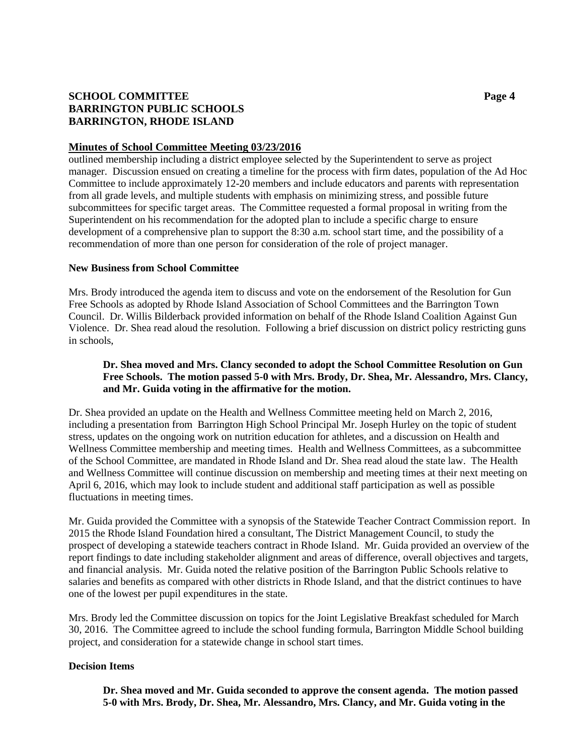# **SCHOOL COMMITTEE Page 4 BARRINGTON PUBLIC SCHOOLS BARRINGTON, RHODE ISLAND**

## **Minutes of School Committee Meeting 03/23/2016**

outlined membership including a district employee selected by the Superintendent to serve as project manager. Discussion ensued on creating a timeline for the process with firm dates, population of the Ad Hoc Committee to include approximately 12-20 members and include educators and parents with representation from all grade levels, and multiple students with emphasis on minimizing stress, and possible future subcommittees for specific target areas. The Committee requested a formal proposal in writing from the Superintendent on his recommendation for the adopted plan to include a specific charge to ensure development of a comprehensive plan to support the 8:30 a.m. school start time, and the possibility of a recommendation of more than one person for consideration of the role of project manager.

## **New Business from School Committee**

Mrs. Brody introduced the agenda item to discuss and vote on the endorsement of the Resolution for Gun Free Schools as adopted by Rhode Island Association of School Committees and the Barrington Town Council. Dr. Willis Bilderback provided information on behalf of the Rhode Island Coalition Against Gun Violence. Dr. Shea read aloud the resolution. Following a brief discussion on district policy restricting guns in schools,

# **Dr. Shea moved and Mrs. Clancy seconded to adopt the School Committee Resolution on Gun Free Schools. The motion passed 5-0 with Mrs. Brody, Dr. Shea, Mr. Alessandro, Mrs. Clancy, and Mr. Guida voting in the affirmative for the motion.**

Dr. Shea provided an update on the Health and Wellness Committee meeting held on March 2, 2016, including a presentation from Barrington High School Principal Mr. Joseph Hurley on the topic of student stress, updates on the ongoing work on nutrition education for athletes, and a discussion on Health and Wellness Committee membership and meeting times. Health and Wellness Committees, as a subcommittee of the School Committee, are mandated in Rhode Island and Dr. Shea read aloud the state law. The Health and Wellness Committee will continue discussion on membership and meeting times at their next meeting on April 6, 2016, which may look to include student and additional staff participation as well as possible fluctuations in meeting times.

Mr. Guida provided the Committee with a synopsis of the Statewide Teacher Contract Commission report. In 2015 the Rhode Island Foundation hired a consultant, The District Management Council, to study the prospect of developing a statewide teachers contract in Rhode Island. Mr. Guida provided an overview of the report findings to date including stakeholder alignment and areas of difference, overall objectives and targets, and financial analysis. Mr. Guida noted the relative position of the Barrington Public Schools relative to salaries and benefits as compared with other districts in Rhode Island, and that the district continues to have one of the lowest per pupil expenditures in the state.

Mrs. Brody led the Committee discussion on topics for the Joint Legislative Breakfast scheduled for March 30, 2016. The Committee agreed to include the school funding formula, Barrington Middle School building project, and consideration for a statewide change in school start times.

# **Decision Items**

**Dr. Shea moved and Mr. Guida seconded to approve the consent agenda. The motion passed 5-0 with Mrs. Brody, Dr. Shea, Mr. Alessandro, Mrs. Clancy, and Mr. Guida voting in the**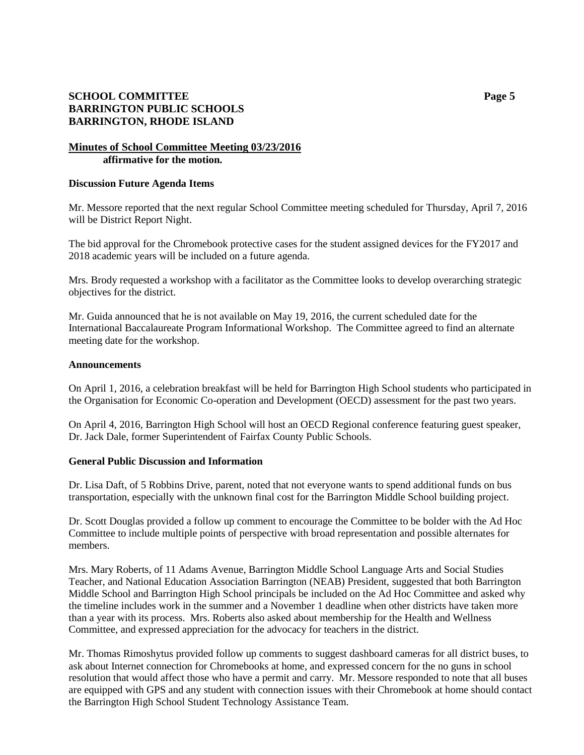# **SCHOOL COMMITTEE Page 5 BARRINGTON PUBLIC SCHOOLS BARRINGTON, RHODE ISLAND**

## **Minutes of School Committee Meeting 03/23/2016 affirmative for the motion.**

#### **Discussion Future Agenda Items**

Mr. Messore reported that the next regular School Committee meeting scheduled for Thursday, April 7, 2016 will be District Report Night.

The bid approval for the Chromebook protective cases for the student assigned devices for the FY2017 and 2018 academic years will be included on a future agenda.

Mrs. Brody requested a workshop with a facilitator as the Committee looks to develop overarching strategic objectives for the district.

Mr. Guida announced that he is not available on May 19, 2016, the current scheduled date for the International Baccalaureate Program Informational Workshop. The Committee agreed to find an alternate meeting date for the workshop.

## **Announcements**

On April 1, 2016, a celebration breakfast will be held for Barrington High School students who participated in the Organisation for Economic Co-operation and Development (OECD) assessment for the past two years.

On April 4, 2016, Barrington High School will host an OECD Regional conference featuring guest speaker, Dr. Jack Dale, former Superintendent of Fairfax County Public Schools.

# **General Public Discussion and Information**

Dr. Lisa Daft, of 5 Robbins Drive, parent, noted that not everyone wants to spend additional funds on bus transportation, especially with the unknown final cost for the Barrington Middle School building project.

Dr. Scott Douglas provided a follow up comment to encourage the Committee to be bolder with the Ad Hoc Committee to include multiple points of perspective with broad representation and possible alternates for members.

Mrs. Mary Roberts, of 11 Adams Avenue, Barrington Middle School Language Arts and Social Studies Teacher, and National Education Association Barrington (NEAB) President, suggested that both Barrington Middle School and Barrington High School principals be included on the Ad Hoc Committee and asked why the timeline includes work in the summer and a November 1 deadline when other districts have taken more than a year with its process. Mrs. Roberts also asked about membership for the Health and Wellness Committee, and expressed appreciation for the advocacy for teachers in the district.

Mr. Thomas Rimoshytus provided follow up comments to suggest dashboard cameras for all district buses, to ask about Internet connection for Chromebooks at home, and expressed concern for the no guns in school resolution that would affect those who have a permit and carry. Mr. Messore responded to note that all buses are equipped with GPS and any student with connection issues with their Chromebook at home should contact the Barrington High School Student Technology Assistance Team.